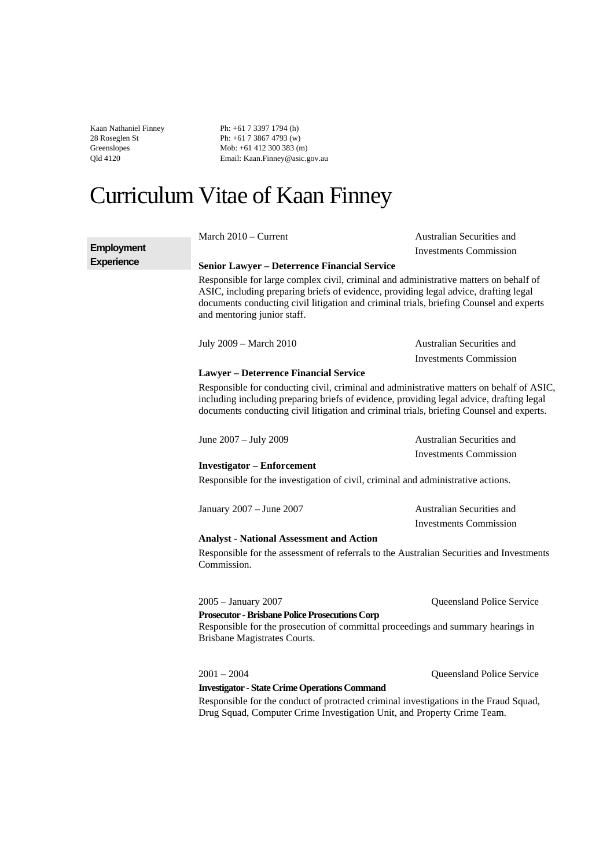Kaan Nathaniel Finney 28 Roseglen St Greenslopes Qld 4120

Ph: +61 7 3397 1794 (h) Ph: +61 7 3867 4793 (w) Mob: +61 412 300 383 (m) Email: Kaan.Finney@asic.gov.au

# Curriculum Vitae of Kaan Finney

|                   | March 2010 - Current                                                                                                                                                                                                                                                                                    | Australian Securities and     |
|-------------------|---------------------------------------------------------------------------------------------------------------------------------------------------------------------------------------------------------------------------------------------------------------------------------------------------------|-------------------------------|
| <b>Employment</b> |                                                                                                                                                                                                                                                                                                         | <b>Investments Commission</b> |
| <b>Experience</b> | <b>Senior Lawyer – Deterrence Financial Service</b>                                                                                                                                                                                                                                                     |                               |
|                   | Responsible for large complex civil, criminal and administrative matters on behalf of<br>ASIC, including preparing briefs of evidence, providing legal advice, drafting legal<br>documents conducting civil litigation and criminal trials, briefing Counsel and experts<br>and mentoring junior staff. |                               |
|                   | July 2009 - March 2010                                                                                                                                                                                                                                                                                  | Australian Securities and     |
|                   |                                                                                                                                                                                                                                                                                                         | <b>Investments Commission</b> |
|                   | <b>Lawyer - Deterrence Financial Service</b>                                                                                                                                                                                                                                                            |                               |
|                   | Responsible for conducting civil, criminal and administrative matters on behalf of ASIC,<br>including including preparing briefs of evidence, providing legal advice, drafting legal<br>documents conducting civil litigation and criminal trials, briefing Counsel and experts.                        |                               |
|                   | June 2007 - July 2009                                                                                                                                                                                                                                                                                   | Australian Securities and     |
|                   |                                                                                                                                                                                                                                                                                                         | <b>Investments Commission</b> |
|                   | <b>Investigator - Enforcement</b>                                                                                                                                                                                                                                                                       |                               |
|                   | Responsible for the investigation of civil, criminal and administrative actions.                                                                                                                                                                                                                        |                               |
|                   | January 2007 - June 2007                                                                                                                                                                                                                                                                                | Australian Securities and     |
|                   |                                                                                                                                                                                                                                                                                                         | <b>Investments Commission</b> |
|                   | <b>Analyst - National Assessment and Action</b>                                                                                                                                                                                                                                                         |                               |
|                   | Responsible for the assessment of referrals to the Australian Securities and Investments<br>Commission.                                                                                                                                                                                                 |                               |
|                   | 2005 - January 2007<br><b>Prosecutor - Brisbane Police Prosecutions Corp</b>                                                                                                                                                                                                                            | Queensland Police Service     |
|                   | Responsible for the prosecution of committal proceedings and summary hearings in<br>Brisbane Magistrates Courts.                                                                                                                                                                                        |                               |
|                   | $2001 - 2004$                                                                                                                                                                                                                                                                                           | Queensland Police Service     |
|                   | <b>Investigator - State Crime Operations Command</b>                                                                                                                                                                                                                                                    |                               |
|                   | Responsible for the conduct of protracted criminal investigations in the Fraud Squad,<br>Drug Squad, Computer Crime Investigation Unit, and Property Crime Team.                                                                                                                                        |                               |
|                   |                                                                                                                                                                                                                                                                                                         |                               |